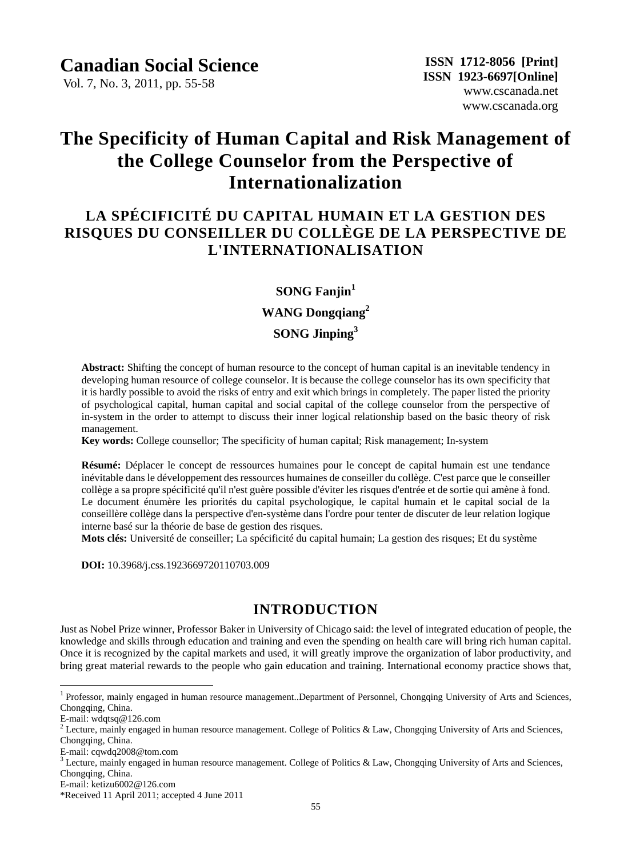### **Canadian Social Science**

Vol. 7, No. 3, 2011, pp. 55-58

# **The Specificity of Human Capital and Risk Management of the College Counselor from the Perspective of Internationalization**

# **LA SPÉCIFICITÉ DU CAPITAL HUMAIN ET LA GESTION DES RISQUES DU CONSEILLER DU COLLÈGE DE LA PERSPECTIVE DE L'INTERNATIONALISATION**

#### **SONG Fanjin<sup>1</sup>**

### **WANG Dongqiang<sup>2</sup>**

### **SONG Jinping<sup>3</sup>**

**Abstract:** Shifting the concept of human resource to the concept of human capital is an inevitable tendency in developing human resource of college counselor. It is because the college counselor has its own specificity that it is hardly possible to avoid the risks of entry and exit which brings in completely. The paper listed the priority of psychological capital, human capital and social capital of the college counselor from the perspective of in-system in the order to attempt to discuss their inner logical relationship based on the basic theory of risk management.

**Key words:** College counsellor; The specificity of human capital; Risk management; In-system

**Résumé:** Déplacer le concept de ressources humaines pour le concept de capital humain est une tendance inévitable dans le développement des ressources humaines de conseiller du collège. C'est parce que le conseiller collège a sa propre spécificité qu'il n'est guère possible d'éviter les risques d'entrée et de sortie qui amène à fond. Le document énumère les priorités du capital psychologique, le capital humain et le capital social de la conseillère collège dans la perspective d'en-système dans l'ordre pour tenter de discuter de leur relation logique interne basé sur la théorie de base de gestion des risques.

**Mots clés:** Université de conseiller; La spécificité du capital humain; La gestion des risques; Et du système

**DOI:** 10.3968/j.css.1923669720110703.009

## **INTRODUCTION**

Just as Nobel Prize winner, Professor Baker in University of Chicago said: the level of integrated education of people, the knowledge and skills through education and training and even the spending on health care will bring rich human capital. Once it is recognized by the capital markets and used, it will greatly improve the organization of labor productivity, and bring great material rewards to the people who gain education and training. International economy practice shows that,

 $\overline{a}$ 

<sup>&</sup>lt;sup>1</sup> Professor, mainly engaged in human resource management..Department of Personnel, Chongqing University of Arts and Sciences, Chongqing, China.

E-mail: wdqtsq@126.com

 $2$  Lecture, mainly engaged in human resource management. College of Politics & Law, Chongqing University of Arts and Sciences, Chongqing, China.

E-mail: cqwdq2008@tom.com

 $3$  Lecture, mainly engaged in human resource management. College of Politics & Law, Chongqing University of Arts and Sciences, Chongqing, China.

E-mail: ketizu6002@126.com

<sup>\*</sup>Received 11 April 2011; accepted 4 June 2011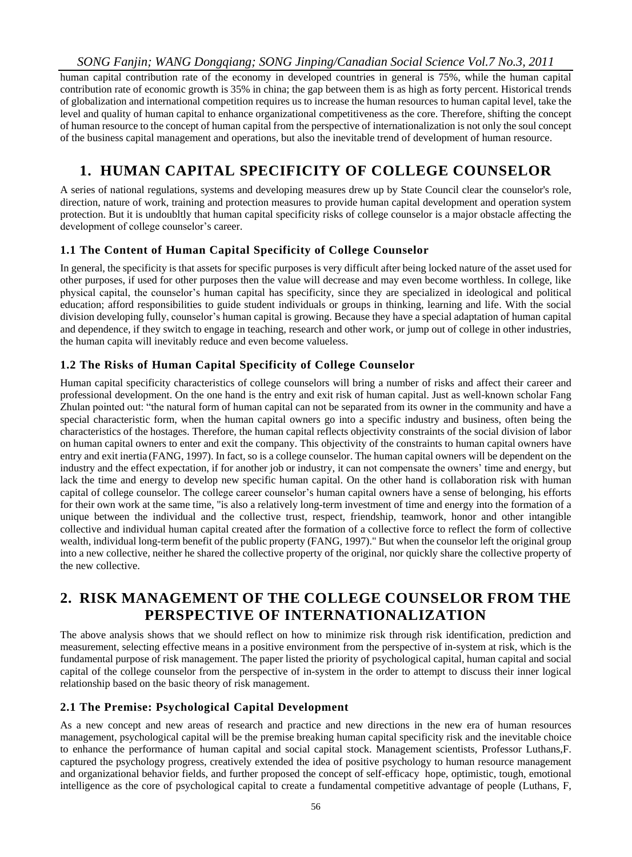#### *SONG Fanjin; WANG Dongqiang; SONG Jinping/Canadian Social Science Vol.7 No.3, 2011*

human capital contribution rate of the economy in developed countries in general is 75%, while the human capital contribution rate of economic growth is 35% in china; the gap between them is as high as forty percent. Historical trends of globalization and international competition requires us to increase the human resources to human capital level, take the level and quality of human capital to enhance organizational competitiveness as the core. Therefore, shifting the concept of human resource to the concept of human capital from the perspective of internationalization is not only the soul concept of the business capital management and operations, but also the inevitable trend of development of human resource.

# **1. HUMAN CAPITAL SPECIFICITY OF COLLEGE COUNSELOR**

A series of national regulations, systems and developing measures drew up by State Council clear the counselor's role, direction, nature of work, training and protection measures to provide human capital development and operation system protection. But it is undoubltly that human capital specificity risks of college counselor is a major obstacle affecting the development of college counselor's career.

#### **1.1 The Content of Human Capital Specificity of College Counselor**

In general, the specificity is that assets for specific purposes is very difficult after being locked nature of the asset used for other purposes, if used for other purposes then the value will decrease and may even become worthless. In college, like physical capital, the counselor's human capital has specificity, since they are specialized in ideological and political education; afford responsibilities to guide student individuals or groups in thinking, learning and life. With the social division developing fully, counselor's human capital is growing. Because they have a special adaptation of human capital and dependence, if they switch to engage in teaching, research and other work, or jump out of college in other industries, the human capita will inevitably reduce and even become valueless.

### **1.2 The Risks of Human Capital Specificity of College Counselor**

Human capital specificity characteristics of college counselors will bring a number of risks and affect their career and professional development. On the one hand is the entry and exit risk of human capital. Just as well-known scholar Fang Zhulan pointed out: "the natural form of human capital can not be separated from its owner in the community and have a special characteristic form, when the human capital owners go into a specific industry and business, often being the characteristics of the hostages. Therefore, the human capital reflects objectivity constraints of the social division of labor on human capital owners to enter and exit the company. This objectivity of the constraints to human capital owners have entry and exit inertia (FANG, 1997). In fact, so is a college counselor. The human capital owners will be dependent on the industry and the effect expectation, if for another job or industry, it can not compensate the owners' time and energy, but lack the time and energy to develop new specific human capital. On the other hand is collaboration risk with human capital of college counselor. The college career counselor's human capital owners have a sense of belonging, his efforts for their own work at the same time, "is also a relatively long-term investment of time and energy into the formation of a unique between the individual and the collective trust, respect, friendship, teamwork, honor and other intangible collective and individual human capital created after the formation of a collective force to reflect the form of collective wealth, individual long-term benefit of the public property (FANG, 1997)." But when the counselor left the original group into a new collective, neither he shared the collective property of the original, nor quickly share the collective property of the new collective.

### **2. RISK MANAGEMENT OF THE COLLEGE COUNSELOR FROM THE PERSPECTIVE OF INTERNATIONALIZATION**

The above analysis shows that we should reflect on how to minimize risk through risk identification, prediction and measurement, selecting effective means in a positive environment from the perspective of in-system at risk, which is the fundamental purpose of risk management. The paper listed the priority of psychological capital, human capital and social capital of the college counselor from the perspective of in-system in the order to attempt to discuss their inner logical relationship based on the basic theory of risk management.

#### **2.1 The Premise: Psychological Capital Development**

As a new concept and new areas of research and practice and new directions in the new era of human resources management, psychological capital will be the premise breaking human capital specificity risk and the inevitable choice to enhance the performance of human capital and social capital stock. Management scientists, Professor Luthans,F. captured the psychology progress, creatively extended the idea of positive psychology to human resource management and organizational behavior fields, and further proposed the concept of self-efficacy hope, optimistic, tough, emotional intelligence as the core of psychological capital to create a fundamental competitive advantage of people [\(Luthans,](http://search.dangdang.com/book/search_pub.php?category=01&key2=Luthans) F,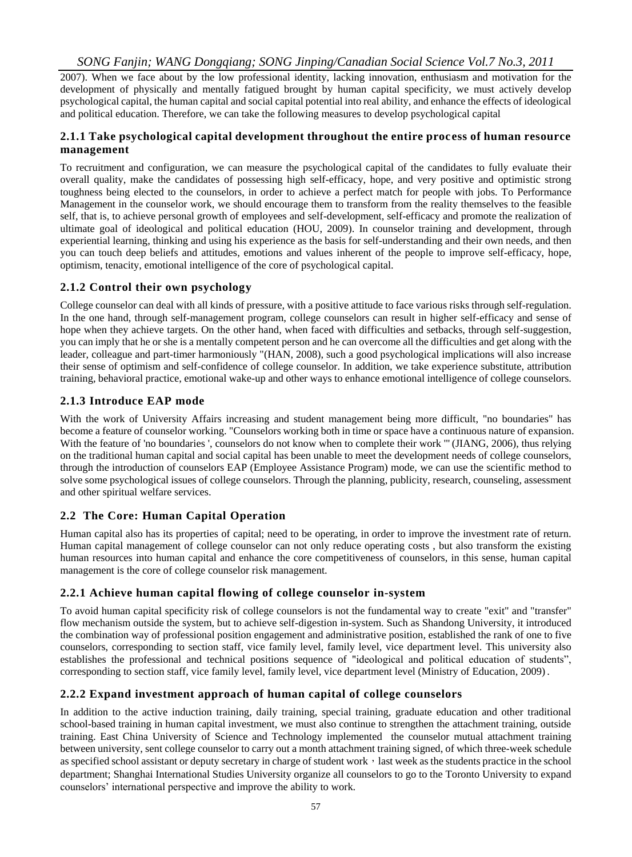#### *SONG Fanjin; WANG Dongqiang; SONG Jinping/Canadian Social Science Vol.7 No.3, 2011*

2007). When we face about by the low professional identity, lacking innovation, enthusiasm and motivation for the development of physically and mentally fatigued brought by human capital specificity, we must actively develop psychological capital, the human capital and social capital potential into real ability, and enhance the effects of ideological and political education. Therefore, we can take the following measures to develop psychological capital

#### **2.1.1 Take psychological capital development throughout the entire proc ess of human resource management**

To recruitment and configuration, we can measure the psychological capital of the candidates to fully evaluate their overall quality, make the candidates of possessing high self-efficacy, hope, and very positive and optimistic strong toughness being elected to the counselors, in order to achieve a perfect match for people with jobs. To Performance Management in the counselor work, we should encourage them to transform from the reality themselves to the feasible self, that is, to achieve personal growth of employees and self-development, self-efficacy and promote the realization of ultimate goal of ideological and political education (HOU, 2009). In counselor training and development, through experiential learning, thinking and using his experience as the basis for self-understanding and their own needs, and then you can touch deep beliefs and attitudes, emotions and values inherent of the people to improve self-efficacy, hope, optimism, tenacity, emotional intelligence of the core of psychological capital.

#### **2.1.2 Control their own psychology**

College counselor can deal with all kinds of pressure, with a positive attitude to face various risks through self-regulation. In the one hand, through self-management program, college counselors can result in higher self-efficacy and sense of hope when they achieve targets. On the other hand, when faced with difficulties and setbacks, through self-suggestion, you can imply that he or she is a mentally competent person and he can overcome all the difficulties and get along with the leader, colleague and part-timer harmoniously "(HAN, 2008), such a good psychological implications will also increase their sense of optimism and self-confidence of college counselor. In addition, we take experience substitute, attribution training, behavioral practice, emotional wake-up and other ways to enhance emotional intelligence of college counselors.

#### **2.1.3 Introduce EAP mode**

With the work of University Affairs increasing and student management being more difficult, "no boundaries" has become a feature of counselor working. "Counselors working both in time or space have a continuous nature of expansion. With the feature of 'no boundaries ', counselors do not know when to complete their work "' (JIANG, 2006), thus relying on the traditional human capital and social capital has been unable to meet the development needs of college counselors, through the introduction of counselors EAP (Employee Assistance Program) mode, we can use the scientific method to solve some psychological issues of college counselors. Through the planning, publicity, research, counseling, assessment and other spiritual welfare services.

#### **2.2 The Core: Human Capital Operation**

Human capital also has its properties of capital; need to be operating, in order to improve the investment rate of return. Human capital management of college counselor can not only reduce operating costs , but also transform the existing human resources into human capital and enhance the core competitiveness of counselors, in this sense, human capital management is the core of college counselor risk management.

#### **2.2.1 Achieve human capital flowing of college counselor in-system**

To avoid human capital specificity risk of college counselors is not the fundamental way to create "exit" and "transfer" flow mechanism outside the system, but to achieve self-digestion in-system. Such as Shandong University, it introduced the combination way of professional position engagement and administrative position, established the rank of one to five counselors, corresponding to section staff, vice [family level, family level,](javascript:showjdsw() vice department level. This university also establishes the professional and technical positions sequence of "ideological and political education of students", corresponding to section staff, vic[e family level, family level,](javascript:showjdsw() vice department level (Ministry of Education, 2009).

#### **2.2.2 Expand investment approach of human capital of college counselors**

In addition to the active induction training, daily training, special training, graduate education and other traditional school-based training in human capital investment, we must also continue to strengthen the attachment training, outside training. East China University of Science and Technology implemented the counselor mutual attachment training between university, sent college counselor to carry out a month attachment training signed, of which three-week schedule as specified school assistant or deputy secretary in charge of student work, last week as the students practice in the school department; Shanghai International Studies University organize all counselors to go to the Toronto University to expand counselors' international perspective and improve the ability to work.